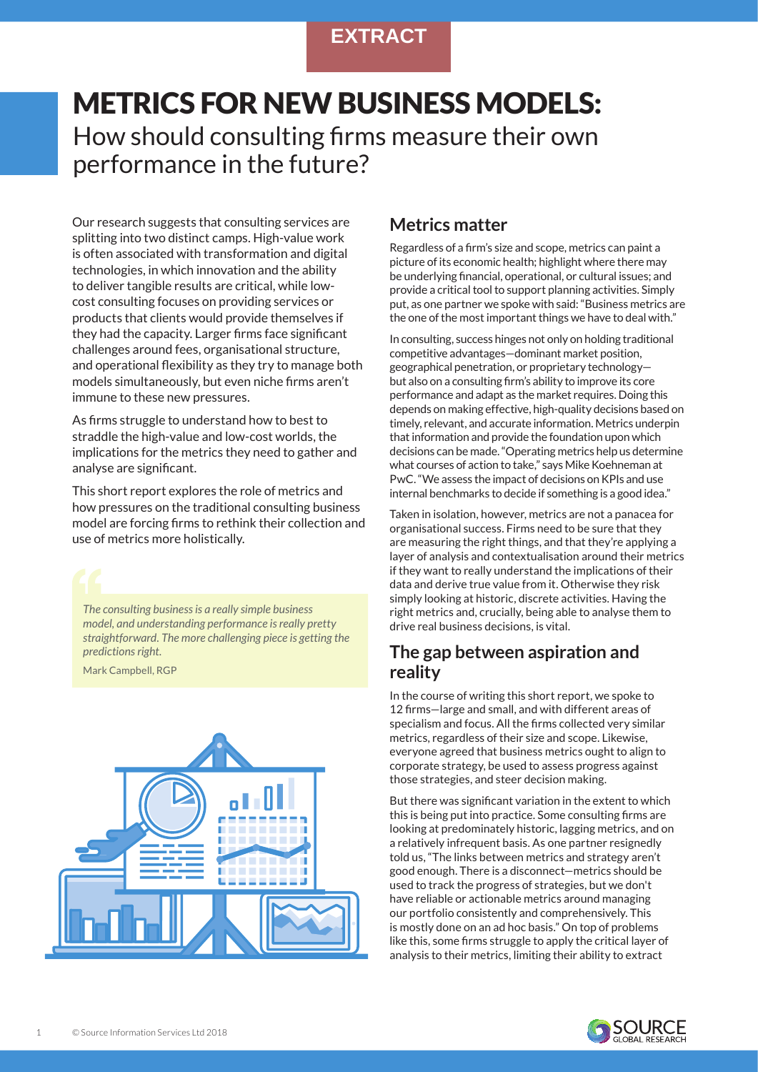# **EXTRACT**

# METRICS FOR NEW BUSINESS MODELS: How should consulting firms measure their own performance in the future?

Our research suggests that consulting services are splitting into two distinct camps. High-value work is often associated with transformation and digital technologies, in which innovation and the ability to deliver tangible results are critical, while lowcost consulting focuses on providing services or products that clients would provide themselves if they had the capacity. Larger firms face significant challenges around fees, organisational structure, and operational flexibility as they try to manage both models simultaneously, but even niche firms aren't immune to these new pressures.

As firms struggle to understand how to best to straddle the high-value and low-cost worlds, the implications for the metrics they need to gather and analyse are significant.

This short report explores the role of metrics and how pressures on the traditional consulting business model are forcing firms to rethink their collection and use of metrics more holistically.

*The consulting business is a really simple business model, and understanding performance is really pretty straightforward. The more challenging piece is getting the predictions right.*

Mark Campbell, RGP



## **Metrics matter**

Regardless of a firm's size and scope, metrics can paint a picture of its economic health; highlight where there may be underlying financial, operational, or cultural issues; and provide a critical tool to support planning activities. Simply put, as one partner we spoke with said: "Business metrics are the one of the most important things we have to deal with."

In consulting, success hinges not only on holding traditional competitive advantages—dominant market position, geographical penetration, or proprietary technology but also on a consulting firm's ability to improve its core performance and adapt as the market requires. Doing this depends on making effective, high-quality decisions based on timely, relevant, and accurate information. Metrics underpin that information and provide the foundation upon which decisions can be made. "Operating metrics help us determine what courses of action to take," says Mike Koehneman at PwC. "We assess the impact of decisions on KPIs and use internal benchmarks to decide if something is a good idea."

Taken in isolation, however, metrics are not a panacea for organisational success. Firms need to be sure that they are measuring the right things, and that they're applying a layer of analysis and contextualisation around their metrics if they want to really understand the implications of their data and derive true value from it. Otherwise they risk simply looking at historic, discrete activities. Having the right metrics and, crucially, being able to analyse them to drive real business decisions, is vital.

# **The gap between aspiration and reality**

In the course of writing this short report, we spoke to 12 firms—large and small, and with different areas of specialism and focus. All the firms collected very similar metrics, regardless of their size and scope. Likewise, everyone agreed that business metrics ought to align to corporate strategy, be used to assess progress against those strategies, and steer decision making.

But there was significant variation in the extent to which this is being put into practice. Some consulting firms are looking at predominately historic, lagging metrics, and on a relatively infrequent basis. As one partner resignedly told us, "The links between metrics and strategy aren't good enough. There is a disconnect—metrics should be used to track the progress of strategies, but we don't have reliable or actionable metrics around managing our portfolio consistently and comprehensively. This is mostly done on an ad hoc basis." On top of problems like this, some firms struggle to apply the critical layer of analysis to their metrics, limiting their ability to extract

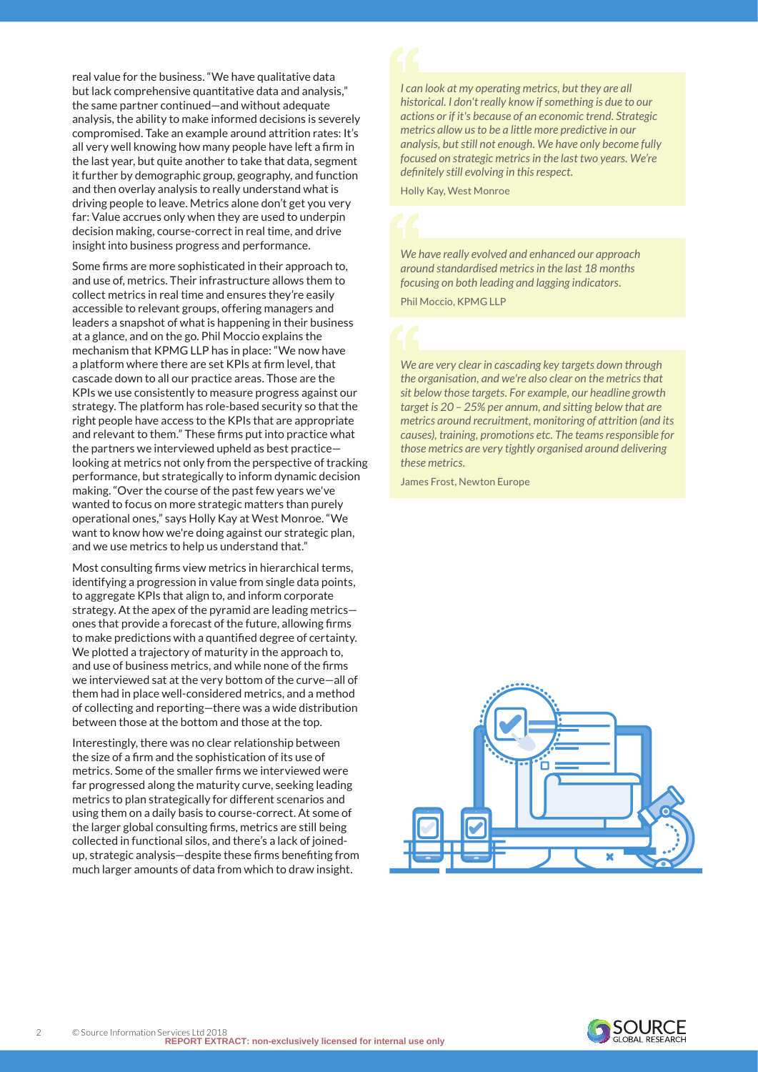real value for the business. "We have qualitative data but lack comprehensive quantitative data and analysis," the same partner continued—and without adequate analysis, the ability to make informed decisions is severely compromised. Take an example around attrition rates: It's all very well knowing how many people have left a firm in the last year, but quite another to take that data, segment it further by demographic group, geography, and function and then overlay analysis to really understand what is driving people to leave. Metrics alone don't get you very far: Value accrues only when they are used to underpin decision making, course-correct in real time, and drive insight into business progress and performance.

Some firms are more sophisticated in their approach to, and use of, metrics. Their infrastructure allows them to collect metrics in real time and ensures they're easily accessible to relevant groups, offering managers and leaders a snapshot of what is happening in their business at a glance, and on the go. Phil Moccio explains the mechanism that KPMG LLP has in place: "We now have a platform where there are set KPIs at firm level, that cascade down to all our practice areas. Those are the KPIs we use consistently to measure progress against our strategy. The platform has role-based security so that the right people have access to the KPIs that are appropriate and relevant to them." These firms put into practice what the partners we interviewed upheld as best practice looking at metrics not only from the perspective of tracking performance, but strategically to inform dynamic decision making. "Over the course of the past few years we've wanted to focus on more strategic matters than purely operational ones," says Holly Kay at West Monroe. "We want to know how we're doing against our strategic plan, and we use metrics to help us understand that."

Most consulting firms view metrics in hierarchical terms, identifying a progression in value from single data points, to aggregate KPIs that align to, and inform corporate strategy. At the apex of the pyramid are leading metrics ones that provide a forecast of the future, allowing firms to make predictions with a quantified degree of certainty. We plotted a trajectory of maturity in the approach to, and use of business metrics, and while none of the firms we interviewed sat at the very bottom of the curve—all of them had in place well-considered metrics, and a method of collecting and reporting—there was a wide distribution between those at the bottom and those at the top.

Interestingly, there was no clear relationship between the size of a firm and the sophistication of its use of metrics. Some of the smaller firms we interviewed were far progressed along the maturity curve, seeking leading metrics to plan strategically for different scenarios and using them on a daily basis to course-correct. At some of the larger global consulting firms, metrics are still being collected in functional silos, and there's a lack of joinedup, strategic analysis—despite these firms benefiting from much larger amounts of data from which to draw insight.

*I can look at my operating metrics, but they are all historical. I don't really know if something is due to our actions or if it's because of an economic trend. Strategic metrics allow us to be a little more predictive in our analysis, but still not enough. We have only become fully focused on strategic metrics in the last two years. We're definitely still evolving in this respect.*

Holly Kay, West Monroe

*We have really evolved and enhanced our approach around standardised metrics in the last 18 months focusing on both leading and lagging indicators.*

Phil Moccio, KPMG LLP

*We are very clear in cascading key targets down through the organisation, and we're also clear on the metrics that sit below those targets. For example, our headline growth target is 20 – 25% per annum, and sitting below that are metrics around recruitment, monitoring of attrition (and its causes), training, promotions etc. The teams responsible for those metrics are very tightly organised around delivering these metrics.*

James Frost, Newton Europe



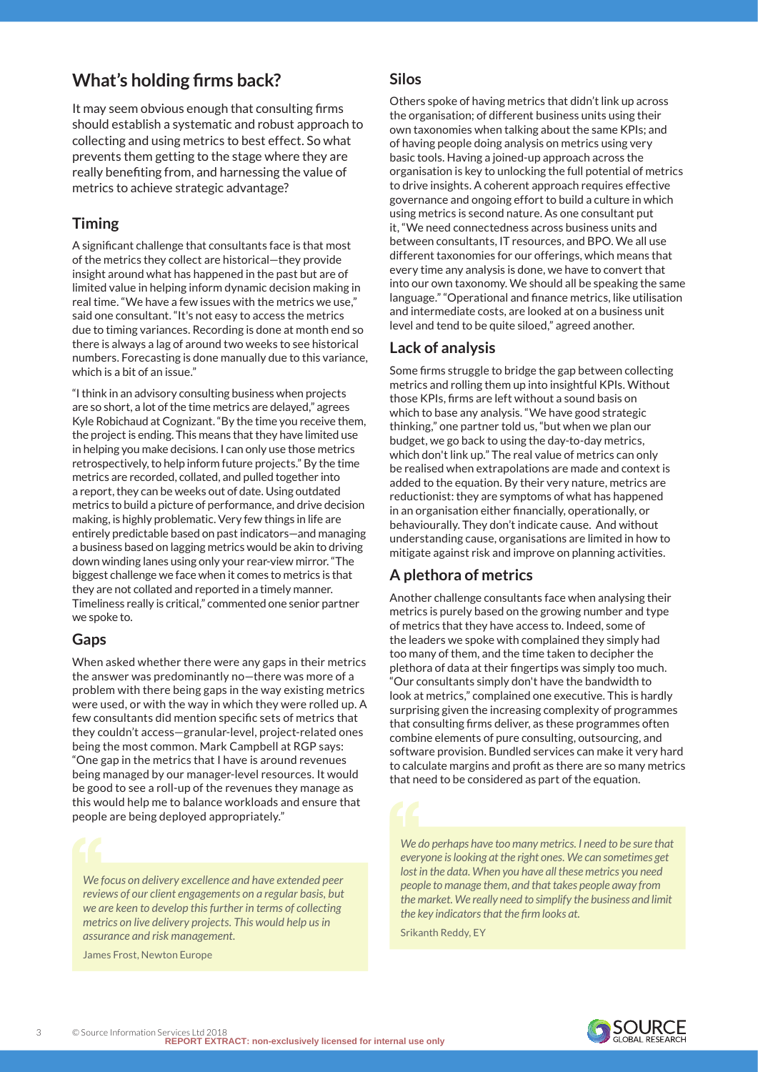# **What's holding firms back?**

It may seem obvious enough that consulting firms should establish a systematic and robust approach to collecting and using metrics to best effect. So what prevents them getting to the stage where they are really benefiting from, and harnessing the value of metrics to achieve strategic advantage?

### **Timing**

A significant challenge that consultants face is that most of the metrics they collect are historical—they provide insight around what has happened in the past but are of limited value in helping inform dynamic decision making in real time. "We have a few issues with the metrics we use," said one consultant. "It's not easy to access the metrics due to timing variances. Recording is done at month end so there is always a lag of around two weeks to see historical numbers. Forecasting is done manually due to this variance, which is a bit of an issue."

"I think in an advisory consulting business when projects are so short, a lot of the time metrics are delayed," agrees Kyle Robichaud at Cognizant. "By the time you receive them, the project is ending. This means that they have limited use in helping you make decisions. I can only use those metrics retrospectively, to help inform future projects." By the time metrics are recorded, collated, and pulled together into a report, they can be weeks out of date. Using outdated metrics to build a picture of performance, and drive decision making, is highly problematic. Very few things in life are entirely predictable based on past indicators—and managing a business based on lagging metrics would be akin to driving down winding lanes using only your rear-view mirror. "The biggest challenge we face when it comes to metrics is that they are not collated and reported in a timely manner. Timeliness really is critical," commented one senior partner we spoke to.

#### **Gaps**

When asked whether there were any gaps in their metrics the answer was predominantly no—there was more of a problem with there being gaps in the way existing metrics were used, or with the way in which they were rolled up. A few consultants did mention specific sets of metrics that they couldn't access—granular-level, project-related ones being the most common. Mark Campbell at RGP says: "One gap in the metrics that I have is around revenues being managed by our manager-level resources. It would be good to see a roll-up of the revenues they manage as this would help me to balance workloads and ensure that people are being deployed appropriately."

*We focus on delivery excellence and have extended peer reviews of our client engagements on a regular basis, but we are keen to develop this further in terms of collecting metrics on live delivery projects. This would help us in assurance and risk management.*

James Frost, Newton Europe

#### **Silos**

Others spoke of having metrics that didn't link up across the organisation; of different business units using their own taxonomies when talking about the same KPIs; and of having people doing analysis on metrics using very basic tools. Having a joined-up approach across the organisation is key to unlocking the full potential of metrics to drive insights. A coherent approach requires effective governance and ongoing effort to build a culture in which using metrics is second nature. As one consultant put it, "We need connectedness across business units and between consultants, IT resources, and BPO. We all use different taxonomies for our offerings, which means that every time any analysis is done, we have to convert that into our own taxonomy. We should all be speaking the same language." "Operational and finance metrics, like utilisation and intermediate costs, are looked at on a business unit level and tend to be quite siloed," agreed another.

### **Lack of analysis**

Some firms struggle to bridge the gap between collecting metrics and rolling them up into insightful KPIs. Without those KPIs, firms are left without a sound basis on which to base any analysis. "We have good strategic thinking," one partner told us, "but when we plan our budget, we go back to using the day-to-day metrics, which don't link up." The real value of metrics can only be realised when extrapolations are made and context is added to the equation. By their very nature, metrics are reductionist: they are symptoms of what has happened in an organisation either financially, operationally, or behaviourally. They don't indicate cause. And without understanding cause, organisations are limited in how to mitigate against risk and improve on planning activities.

### **A plethora of metrics**

Another challenge consultants face when analysing their metrics is purely based on the growing number and type of metrics that they have access to. Indeed, some of the leaders we spoke with complained they simply had too many of them, and the time taken to decipher the plethora of data at their fingertips was simply too much. "Our consultants simply don't have the bandwidth to look at metrics," complained one executive. This is hardly surprising given the increasing complexity of programmes that consulting firms deliver, as these programmes often combine elements of pure consulting, outsourcing, and software provision. Bundled services can make it very hard to calculate margins and profit as there are so many metrics that need to be considered as part of the equation.

*We do perhaps have too many metrics. I need to be sure that everyone is looking at the right ones. We can sometimes get lost in the data. When you have all these metrics you need people to manage them, and that takes people away from the market. We really need to simplify the business and limit the key indicators that the firm looks at.*

Srikanth Reddy, EY

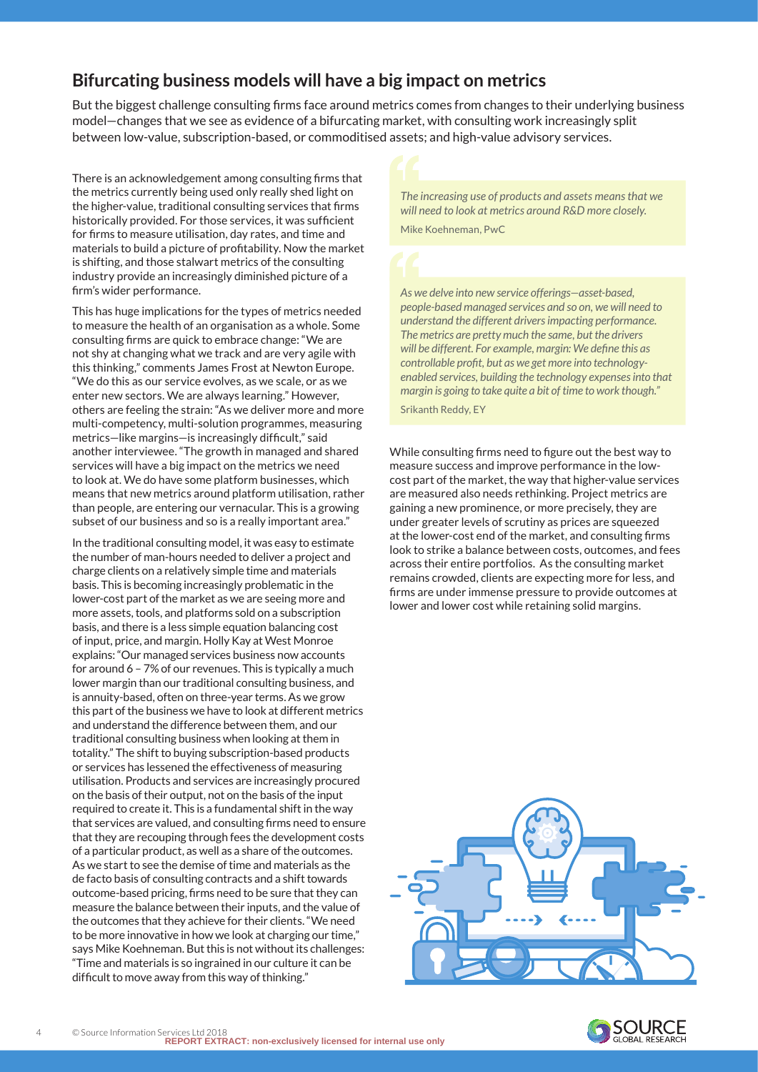# **Bifurcating business models will have a big impact on metrics**

But the biggest challenge consulting firms face around metrics comes from changes to their underlying business model—changes that we see as evidence of a bifurcating market, with consulting work increasingly split between low-value, subscription-based, or commoditised assets; and high-value advisory services.

There is an acknowledgement among consulting firms that the metrics currently being used only really shed light on the higher-value, traditional consulting services that firms historically provided. For those services, it was sufficient for firms to measure utilisation, day rates, and time and materials to build a picture of profitability. Now the market is shifting, and those stalwart metrics of the consulting industry provide an increasingly diminished picture of a firm's wider performance.

This has huge implications for the types of metrics needed to measure the health of an organisation as a whole. Some consulting firms are quick to embrace change: "We are not shy at changing what we track and are very agile with this thinking," comments James Frost at Newton Europe. "We do this as our service evolves, as we scale, or as we enter new sectors. We are always learning." However, others are feeling the strain: "As we deliver more and more multi-competency, multi-solution programmes, measuring metrics—like margins—is increasingly difficult," said another interviewee. "The growth in managed and shared services will have a big impact on the metrics we need to look at. We do have some platform businesses, which means that new metrics around platform utilisation, rather than people, are entering our vernacular. This is a growing subset of our business and so is a really important area."

In the traditional consulting model, it was easy to estimate the number of man-hours needed to deliver a project and charge clients on a relatively simple time and materials basis. This is becoming increasingly problematic in the lower-cost part of the market as we are seeing more and more assets, tools, and platforms sold on a subscription basis, and there is a less simple equation balancing cost of input, price, and margin. Holly Kay at West Monroe explains: "Our managed services business now accounts for around 6 – 7% of our revenues. This is typically a much lower margin than our traditional consulting business, and is annuity-based, often on three-year terms. As we grow this part of the business we have to look at different metrics and understand the difference between them, and our traditional consulting business when looking at them in totality." The shift to buying subscription-based products or services has lessened the effectiveness of measuring utilisation. Products and services are increasingly procured on the basis of their output, not on the basis of the input required to create it. This is a fundamental shift in the way that services are valued, and consulting firms need to ensure that they are recouping through fees the development costs of a particular product, as well as a share of the outcomes. As we start to see the demise of time and materials as the de facto basis of consulting contracts and a shift towards outcome-based pricing, firms need to be sure that they can measure the balance between their inputs, and the value of the outcomes that they achieve for their clients. "We need to be more innovative in how we look at charging our time," says Mike Koehneman. But this is not without its challenges: "Time and materials is so ingrained in our culture it can be difficult to move away from this way of thinking."

*The increasing use of products and assets means that we will need to look at metrics around R&D more closely.* Mike Koehneman, PwC

*As we delve into new service offerings—asset-based, people-based managed services and so on, we will need to understand the different drivers impacting performance. The metrics are pretty much the same, but the drivers will be different. For example, margin: We define this as controllable profit, but as we get more into technologyenabled services, building the technology expenses into that margin is going to take quite a bit of time to work though."*

Srikanth Reddy, EY

While consulting firms need to figure out the best way to measure success and improve performance in the lowcost part of the market, the way that higher-value services are measured also needs rethinking. Project metrics are gaining a new prominence, or more precisely, they are under greater levels of scrutiny as prices are squeezed at the lower-cost end of the market, and consulting firms look to strike a balance between costs, outcomes, and fees across their entire portfolios. As the consulting market remains crowded, clients are expecting more for less, and firms are under immense pressure to provide outcomes at lower and lower cost while retaining solid margins.



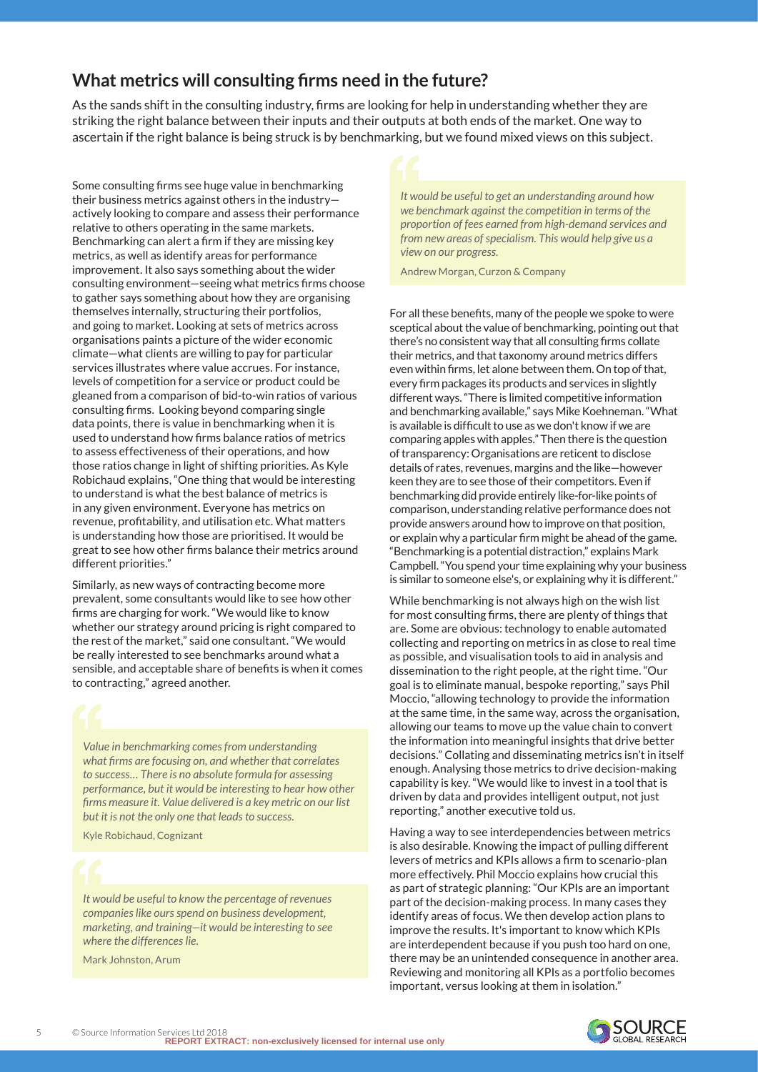# **What metrics will consulting firms need in the future?**

As the sands shift in the consulting industry, firms are looking for help in understanding whether they are striking the right balance between their inputs and their outputs at both ends of the market. One way to ascertain if the right balance is being struck is by benchmarking, but we found mixed views on this subject.

Some consulting firms see huge value in benchmarking their business metrics against others in the industry actively looking to compare and assess their performance relative to others operating in the same markets. Benchmarking can alert a firm if they are missing key metrics, as well as identify areas for performance improvement. It also says something about the wider consulting environment—seeing what metrics firms choose to gather says something about how they are organising themselves internally, structuring their portfolios, and going to market. Looking at sets of metrics across organisations paints a picture of the wider economic climate—what clients are willing to pay for particular services illustrates where value accrues. For instance, levels of competition for a service or product could be gleaned from a comparison of bid-to-win ratios of various consulting firms. Looking beyond comparing single data points, there is value in benchmarking when it is used to understand how firms balance ratios of metrics to assess effectiveness of their operations, and how those ratios change in light of shifting priorities. As Kyle Robichaud explains, "One thing that would be interesting to understand is what the best balance of metrics is in any given environment. Everyone has metrics on revenue, profitability, and utilisation etc. What matters is understanding how those are prioritised. It would be great to see how other firms balance their metrics around different priorities."

Similarly, as new ways of contracting become more prevalent, some consultants would like to see how other firms are charging for work. "We would like to know whether our strategy around pricing is right compared to the rest of the market," said one consultant. "We would be really interested to see benchmarks around what a sensible, and acceptable share of benefits is when it comes to contracting," agreed another.

*Value in benchmarking comes from understanding what firms are focusing on, and whether that correlates to success… There is no absolute formula for assessing performance, but it would be interesting to hear how other firms measure it. Value delivered is a key metric on our list but it is not the only one that leads to success.*

Kyle Robichaud, Cognizant

*It would be useful to know the percentage of revenues companies like ours spend on business development, marketing, and training—it would be interesting to see where the differences lie.*

Mark Johnston, Arum

*It would be useful to get an understanding around how we benchmark against the competition in terms of the proportion of fees earned from high-demand services and from new areas of specialism. This would help give us a view on our progress.*

Andrew Morgan, Curzon & Company

For all these benefits, many of the people we spoke to were sceptical about the value of benchmarking, pointing out that there's no consistent way that all consulting firms collate their metrics, and that taxonomy around metrics differs even within firms, let alone between them. On top of that, every firm packages its products and services in slightly different ways. "There is limited competitive information and benchmarking available," says Mike Koehneman. "What is available is difficult to use as we don't know if we are comparing apples with apples." Then there is the question of transparency: Organisations are reticent to disclose details of rates, revenues, margins and the like—however keen they are to see those of their competitors. Even if benchmarking did provide entirely like-for-like points of comparison, understanding relative performance does not provide answers around how to improve on that position, or explain why a particular firm might be ahead of the game. "Benchmarking is a potential distraction," explains Mark Campbell. "You spend your time explaining why your business is similar to someone else's, or explaining why it is different."

While benchmarking is not always high on the wish list for most consulting firms, there are plenty of things that are. Some are obvious: technology to enable automated collecting and reporting on metrics in as close to real time as possible, and visualisation tools to aid in analysis and dissemination to the right people, at the right time. "Our goal is to eliminate manual, bespoke reporting," says Phil Moccio, "allowing technology to provide the information at the same time, in the same way, across the organisation, allowing our teams to move up the value chain to convert the information into meaningful insights that drive better decisions." Collating and disseminating metrics isn't in itself enough. Analysing those metrics to drive decision-making capability is key. "We would like to invest in a tool that is driven by data and provides intelligent output, not just reporting," another executive told us.

Having a way to see interdependencies between metrics is also desirable. Knowing the impact of pulling different levers of metrics and KPIs allows a firm to scenario-plan more effectively. Phil Moccio explains how crucial this as part of strategic planning: "Our KPIs are an important part of the decision-making process. In many cases they identify areas of focus. We then develop action plans to improve the results. It's important to know which KPIs are interdependent because if you push too hard on one, there may be an unintended consequence in another area. Reviewing and monitoring all KPIs as a portfolio becomes important, versus looking at them in isolation."

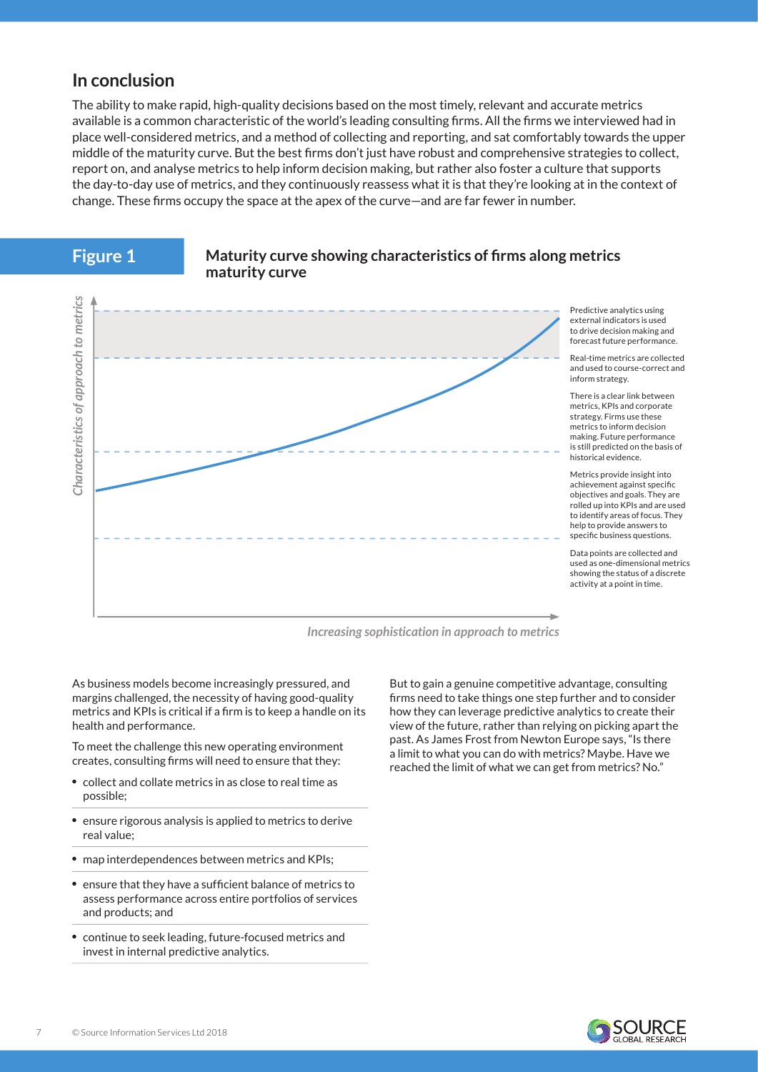# **In conclusion**

**Figure 1**

The ability to make rapid, high-quality decisions based on the most timely, relevant and accurate metrics available is a common characteristic of the world's leading consulting firms. All the firms we interviewed had in place well-considered metrics, and a method of collecting and reporting, and sat comfortably towards the upper middle of the maturity curve. But the best firms don't just have robust and comprehensive strategies to collect, report on, and analyse metrics to help inform decision making, but rather also foster a culture that supports the day-to-day use of metrics, and they continuously reassess what it is that they're looking at in the context of change. These firms occupy the space at the apex of the curve—and are far fewer in number.



#### **Maturity curve showing characteristics of firms along metrics maturity curve**

*Increasing sophistication in approach to metrics*

As business models become increasingly pressured, and margins challenged, the necessity of having good-quality metrics and KPIs is critical if a firm is to keep a handle on its health and performance.

To meet the challenge this new operating environment creates, consulting firms will need to ensure that they:

- collect and collate metrics in as close to real time as possible;
- ensure rigorous analysis is applied to metrics to derive real value;
- map interdependences between metrics and KPIs;
- ensure that they have a sufficient balance of metrics to assess performance across entire portfolios of services and products; and
- continue to seek leading, future-focused metrics and invest in internal predictive analytics.

But to gain a genuine competitive advantage, consulting firms need to take things one step further and to consider how they can leverage predictive analytics to create their view of the future, rather than relying on picking apart the past. As James Frost from Newton Europe says, "Is there a limit to what you can do with metrics? Maybe. Have we reached the limit of what we can get from metrics? No."